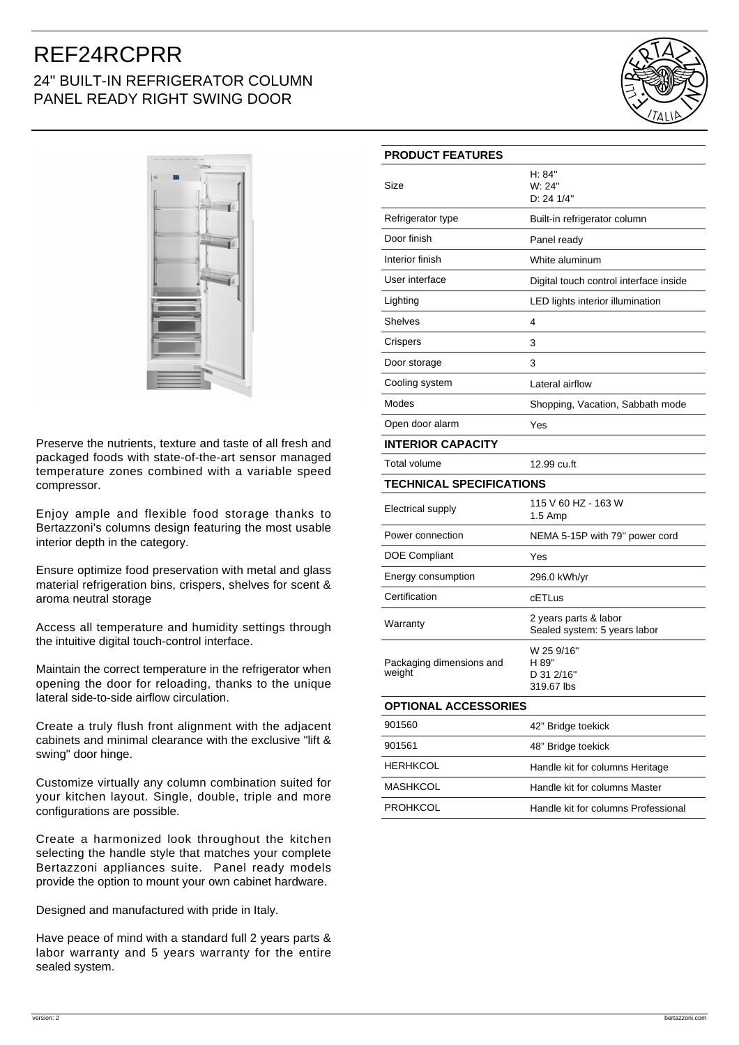## REF24RCPRR 24" BUILT-IN REFRIGERATOR COLUMN PANEL READY RIGHT SWING DOOR





Preserve the nutrients, texture and taste of all fresh and packaged foods with state-of-the-art sensor managed temperature zones combined with a variable speed compressor.

Enjoy ample and flexible food storage thanks to Bertazzoni's columns design featuring the most usable interior depth in the category.

Ensure optimize food preservation with metal and glass material refrigeration bins, crispers, shelves for scent & aroma neutral storage

Access all temperature and humidity settings through the intuitive digital touch-control interface.

Maintain the correct temperature in the refrigerator when opening the door for reloading, thanks to the unique lateral side-to-side airflow circulation.

Create a truly flush front alignment with the adjacent cabinets and minimal clearance with the exclusive "lift & swing" door hinge.

Customize virtually any column combination suited for your kitchen layout. Single, double, triple and more configurations are possible.

Create a harmonized look throughout the kitchen selecting the handle style that matches your complete Bertazzoni appliances suite. Panel ready models provide the option to mount your own cabinet hardware.

Designed and manufactured with pride in Italy.

Have peace of mind with a standard full 2 years parts & labor warranty and 5 years warranty for the entire sealed system.

| <b>PRODUCT FEATURES</b>            |                                                       |
|------------------------------------|-------------------------------------------------------|
| Size                               | H: 84"<br>W: 24"<br>D: 24 1/4"                        |
| Refrigerator type                  | Built-in refrigerator column                          |
| Door finish                        | Panel ready                                           |
| Interior finish                    | White aluminum                                        |
| User interface                     | Digital touch control interface inside                |
| Lighting                           | LED lights interior illumination                      |
| Shelves                            | 4                                                     |
| Crispers                           | 3                                                     |
| Door storage                       | 3                                                     |
| Cooling system                     | Lateral airflow                                       |
| Modes                              | Shopping, Vacation, Sabbath mode                      |
| Open door alarm                    | Yes                                                   |
| <b>INTERIOR CAPACITY</b>           |                                                       |
| Total volume                       | 12.99 cu.ft                                           |
| <b>TECHNICAL SPECIFICATIONS</b>    |                                                       |
| Electrical supply                  | 115 V 60 HZ - 163 W<br>1.5 Amp                        |
| Power connection                   | NEMA 5-15P with 79" power cord                        |
| DOE Compliant                      | Yes                                                   |
| Energy consumption                 | 296.0 kWh/yr                                          |
| Certification                      | cETLus                                                |
| Warranty                           | 2 years parts & labor<br>Sealed system: 5 years labor |
| Packaging dimensions and<br>weight | W 25 9/16"<br>H 89"<br>D 31 2/16"<br>319.67 lbs       |
| <b>OPTIONAL ACCESSORIES</b>        |                                                       |
| 901560                             | 42" Bridge toekick                                    |
| 901561                             | 48" Bridge toekick                                    |
| HERHKCOL                           | Handle kit for columns Heritage                       |
| MASHKCOL                           | Handle kit for columns Master                         |
| <b>PROHKCOL</b>                    | Handle kit for columns Professional                   |